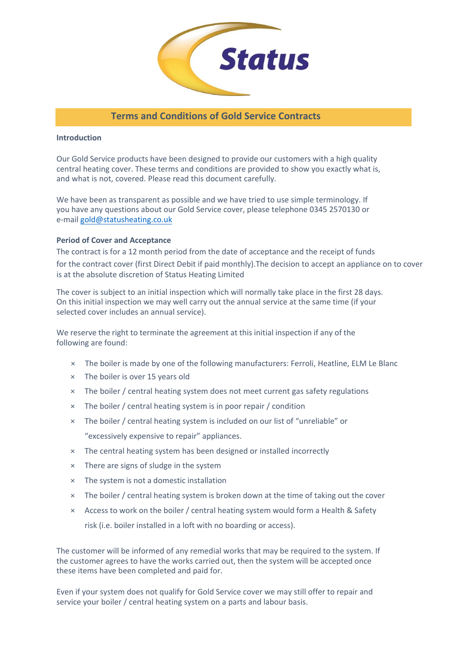

# **Terms and Conditions of Gold Service Contracts**

#### **Introduction**

Our Gold Service products have been designed to provide our customers with a high quality central heating cover. These terms and conditions are provided to show you exactly what is, and what is not, covered. Please read this document carefully.

We have been as transparent as possible and we have tried to use simple terminology. If you have any questions about our Gold Service cover, please telephone 0345 2570130 or e-m[ail gold@statusheating.co.uk](mailto:gold@statusheating.co.uk)

#### **Period of Cover and Acceptance**

The contract is for a 12 month period from the date of acceptance and the receipt of funds for the contract cover (first Direct Debit if paid monthly).The decision to accept an appliance on to cover is at the absolute discretion of Status Heating Limited

The cover is subject to an initial inspection which will normally take place in the first 28 days. On this initial inspection we may well carry out the annual service at the same time (if your selected cover includes an annual service).

We reserve the right to terminate the agreement at this initial inspection if any of the following are found:

- × The boiler is made by one of the following manufacturers: Ferroli, Heatline, ELM Le Blanc
- × The boiler is over 15 years old
- × The boiler / central heating system does not meet current gas safety regulations
- × The boiler / central heating system is in poor repair / condition
- × The boiler / central heating system is included on our list of "unreliable" or "excessively expensive to repair" appliances.
- × The central heating system has been designed or installed incorrectly
- × There are signs of sludge in the system
- × The system is not a domestic installation
- × The boiler / central heating system is broken down at the time of taking out the cover
- × Access to work on the boiler / central heating system would form a Health & Safety risk (i.e. boiler installed in a loft with no boarding or access).

The customer will be informed of any remedial works that may be required to the system. If the customer agrees to have the works carried out, then the system will be accepted once these items have been completed and paid for.

Even if your system does not qualify for Gold Service cover we may still offer to repair and service your boiler / central heating system on a parts and labour basis.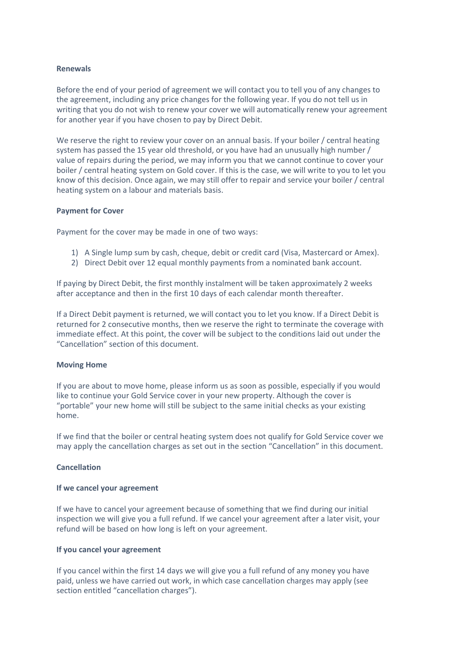#### **Renewals**

Before the end of your period of agreement we will contact you to tell you of any changes to the agreement, including any price changes for the following year. If you do not tell us in writing that you do not wish to renew your cover we will automatically renew your agreement for another year if you have chosen to pay by Direct Debit.

We reserve the right to review your cover on an annual basis. If your boiler / central heating system has passed the 15 year old threshold, or you have had an unusually high number / value of repairs during the period, we may inform you that we cannot continue to cover your boiler / central heating system on Gold cover. If this is the case, we will write to you to let you know of this decision. Once again, we may still offer to repair and service your boiler / central heating system on a labour and materials basis.

#### **Payment for Cover**

Payment for the cover may be made in one of two ways:

- 1) A Single lump sum by cash, cheque, debit or credit card (Visa, Mastercard or Amex).
- 2) Direct Debit over 12 equal monthly payments from a nominated bank account.

If paying by Direct Debit, the first monthly instalment will be taken approximately 2 weeks after acceptance and then in the first 10 days of each calendar month thereafter.

If a Direct Debit payment is returned, we will contact you to let you know. If a Direct Debit is returned for 2 consecutive months, then we reserve the right to terminate the coverage with immediate effect. At this point, the cover will be subject to the conditions laid out under the "Cancellation" section of this document.

#### **Moving Home**

If you are about to move home, please inform us as soon as possible, especially if you would like to continue your Gold Service cover in your new property. Although the cover is "portable" your new home will still be subject to the same initial checks as your existing home.

If we find that the boiler or central heating system does not qualify for Gold Service cover we may apply the cancellation charges as set out in the section "Cancellation" in this document.

#### **Cancellation**

#### **If we cancel your agreement**

If we have to cancel your agreement because of something that we find during our initial inspection we will give you a full refund. If we cancel your agreement after a later visit, your refund will be based on how long is left on your agreement.

#### **If you cancel your agreement**

If you cancel within the first 14 days we will give you a full refund of any money you have paid, unless we have carried out work, in which case cancellation charges may apply (see section entitled "cancellation charges").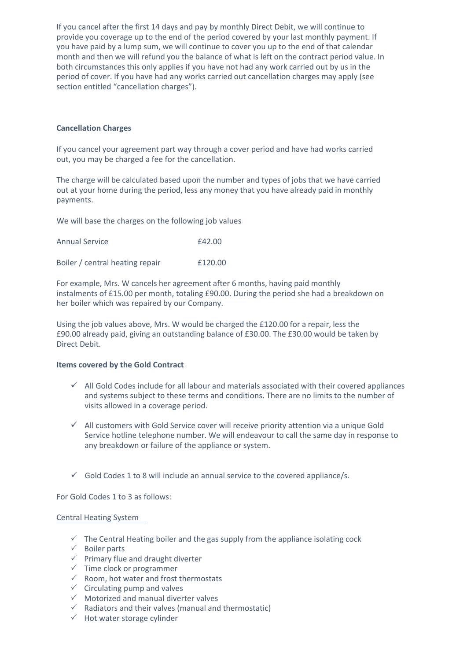If you cancel after the first 14 days and pay by monthly Direct Debit, we will continue to provide you coverage up to the end of the period covered by your last monthly payment. If you have paid by a lump sum, we will continue to cover you up to the end of that calendar month and then we will refund you the balance of what is left on the contract period value. In both circumstances this only applies if you have not had any work carried out by us in the period of cover. If you have had any works carried out cancellation charges may apply (see section entitled "cancellation charges").

#### **Cancellation Charges**

If you cancel your agreement part way through a cover period and have had works carried out, you may be charged a fee for the cancellation.

The charge will be calculated based upon the number and types of jobs that we have carried out at your home during the period, less any money that you have already paid in monthly payments.

We will base the charges on the following job values

| <b>Annual Service</b>           | £42.00  |
|---------------------------------|---------|
| Boiler / central heating repair | £120.00 |

For example, Mrs. W cancels her agreement after 6 months, having paid monthly instalments of £15.00 per month, totaling £90.00. During the period she had a breakdown on her boiler which was repaired by our Company.

Using the job values above, Mrs. W would be charged the £120.00 for a repair, less the £90.00 already paid, giving an outstanding balance of £30.00. The £30.00 would be taken by Direct Debit.

#### **Items covered by the Gold Contract**

- $\checkmark$  All Gold Codes include for all labour and materials associated with their covered appliances and systems subject to these terms and conditions. There are no limits to the number of visits allowed in a coverage period.
- $\checkmark$  All customers with Gold Service cover will receive priority attention via a unique Gold Service hotline telephone number. We will endeavour to call the same day in response to any breakdown or failure of the appliance or system.
- $\checkmark$  Gold Codes 1 to 8 will include an annual service to the covered appliance/s.

For Gold Codes 1 to 3 as follows:

#### Central Heating System

- $\checkmark$  The Central Heating boiler and the gas supply from the appliance isolating cock
- $\checkmark$  Boiler parts
- $\checkmark$  Primary flue and draught diverter
- $\checkmark$  Time clock or programmer
- $\checkmark$  Room, hot water and frost thermostats
- $\checkmark$  Circulating pump and valves
- $\checkmark$  Motorized and manual diverter valves
- $\checkmark$  Radiators and their valves (manual and thermostatic)
- $\checkmark$  Hot water storage cylinder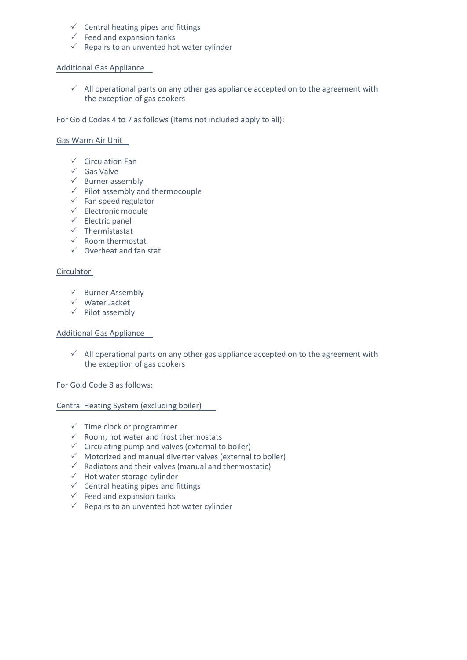- $\checkmark$  Central heating pipes and fittings
- $\checkmark$  Feed and expansion tanks
- $\checkmark$  Repairs to an unvented hot water cylinder

#### Additional Gas Appliance

 $\checkmark$  All operational parts on any other gas appliance accepted on to the agreement with the exception of gas cookers

For Gold Codes 4 to 7 as follows (Items not included apply to all):

#### Gas Warm Air Unit

- $\checkmark$  Circulation Fan
- $\checkmark$  Gas Valve
- $\checkmark$  Burner assembly
- $\checkmark$  Pilot assembly and thermocouple
- $\checkmark$  Fan speed regulator
- $\checkmark$  Electronic module
- $\checkmark$  Electric panel
- $\checkmark$  Thermistastat
- $\checkmark$  Room thermostat
- $\checkmark$  Overheat and fan stat

#### **Circulator**

- $\checkmark$  Burner Assembly
- Water Jacket
- $\checkmark$  Pilot assembly

#### Additional Gas Appliance

 $\checkmark$  All operational parts on any other gas appliance accepted on to the agreement with the exception of gas cookers

For Gold Code 8 as follows:

Central Heating System (excluding boiler)

- $\checkmark$  Time clock or programmer
- $\checkmark$  Room, hot water and frost thermostats
- $\checkmark$  Circulating pump and valves (external to boiler)
- $\checkmark$  Motorized and manual diverter valves (external to boiler)
- $\checkmark$  Radiators and their valves (manual and thermostatic)
- $\checkmark$  Hot water storage cylinder
- $\checkmark$  Central heating pipes and fittings
- $\checkmark$  Feed and expansion tanks
- $\checkmark$  Repairs to an unvented hot water cylinder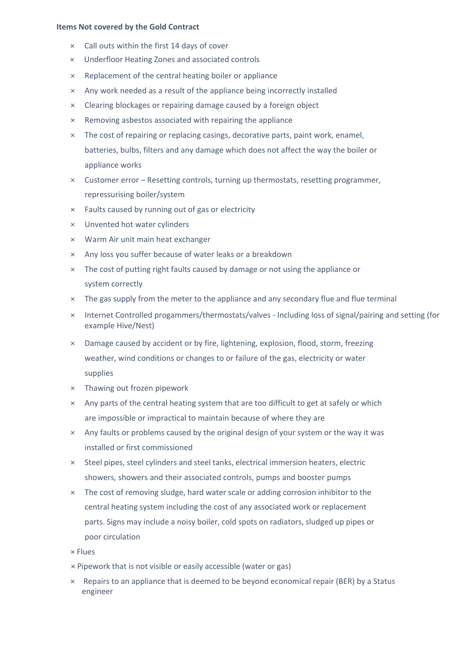#### **Items Not covered by the Gold Contract**

- × Call outs within the first 14 days of cover
- × Underfloor Heating Zones and associated controls
- × Replacement of the central heating boiler or appliance
- × Any work needed as a result of the appliance being incorrectly installed
- × Clearing blockages or repairing damage caused by a foreign object
- × Removing asbestos associated with repairing the appliance
- × The cost of repairing or replacing casings, decorative parts, paint work, enamel, batteries, bulbs, filters and any damage which does not affect the way the boiler or appliance works
- × Customer error Resetting controls, turning up thermostats, resetting programmer, repressurising boiler/system
- × Faults caused by running out of gas or electricity
- × Unvented hot water cylinders
- × Warm Air unit main heat exchanger
- × Any loss you suffer because of water leaks or a breakdown
- × The cost of putting right faults caused by damage or not using the appliance or system correctly
- × The gas supply from the meter to the appliance and any secondary flue and flue terminal
- × Internet Controlled progammers/thermostats/valves Including loss of signal/pairing and setting (for example Hive/Nest)
- × Damage caused by accident or by fire, lightening, explosion, flood, storm, freezing weather, wind conditions or changes to or failure of the gas, electricity or water supplies
- × Thawing out frozen pipework
- × Any parts of the central heating system that are too difficult to get at safely or which are impossible or impractical to maintain because of where they are
- × Any faults or problems caused by the original design of your system or the way it was installed or first commissioned
- × Steel pipes, steel cylinders and steel tanks, electrical immersion heaters, electric showers, showers and their associated controls, pumps and booster pumps
- × The cost of removing sludge, hard water scale or adding corrosion inhibitor to the central heating system including the cost of any associated work or replacement parts. Signs may include a noisy boiler, cold spots on radiators, sludged up pipes or poor circulation

× Flues

× Pipework that is not visible or easily accessible (water or gas)

× Repairs to an appliance that is deemed to be beyond economical repair (BER) by a Status engineer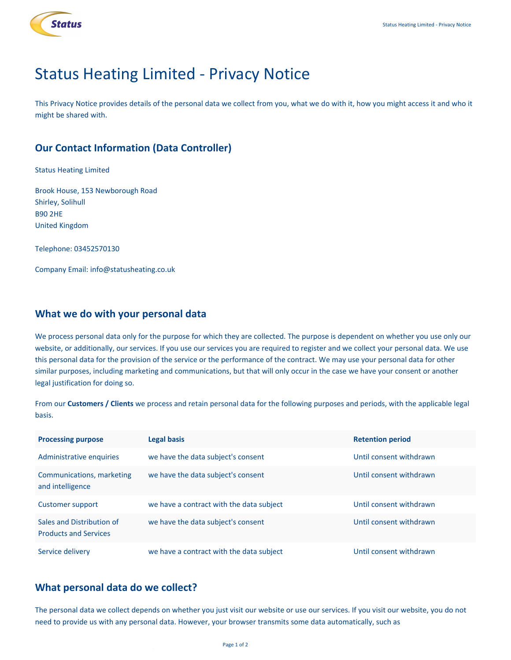

# Status Heating Limited - Privacy Notice

This Privacy Notice provides details of the personal data we collect from you, what we do with it, how you might access it and who it might be shared with.

# **Our Contact Information (Data Controller)**

Status Heating Limited

Brook House, 153 Newborough Road Shirley, Solihull B90 2HE United Kingdom

Telephone: 03452570130

Company Email: info@statusheating.co.uk

# **What we do with your personal data**

We process personal data only for the purpose for which they are collected. The purpose is dependent on whether you use only our website, or additionally, our services. If you use our services you are required to register and we collect your personal data. We use this personal data for the provision of the service or the performance of the contract. We may use your personal data for other similar purposes, including marketing and communications, but that will only occur in the case we have your consent or another legal justification for doing so.

From our **Customers / Clients** we process and retain personal data for the following purposes and periods, with the applicable legal basis.

| <b>Processing purpose</b>                                 | Legal basis                              | <b>Retention period</b> |
|-----------------------------------------------------------|------------------------------------------|-------------------------|
| Administrative enquiries                                  | we have the data subject's consent       | Until consent withdrawn |
| Communications, marketing<br>and intelligence             | we have the data subject's consent       | Until consent withdrawn |
| Customer support                                          | we have a contract with the data subject | Until consent withdrawn |
| Sales and Distribution of<br><b>Products and Services</b> | we have the data subject's consent       | Until consent withdrawn |
| Service delivery                                          | we have a contract with the data subject | Until consent withdrawn |

# **What personal data do we collect?**

The personal data we collect depends on whether you just visit our website or use our services. If you visit our website, you do not need to provide us with any personal data. However, your browser transmits some data automatically, such as